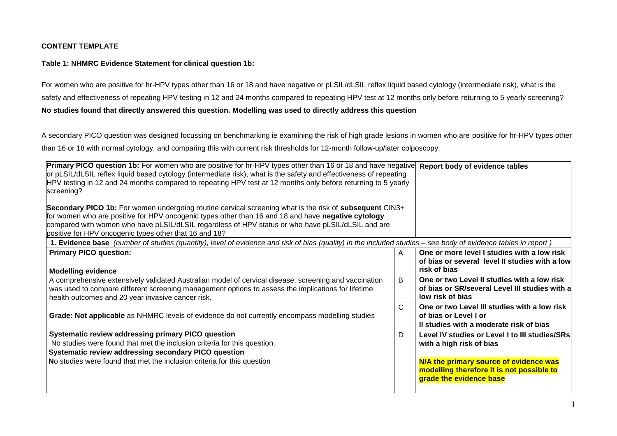# **CONTENT TEMPLATE**

## **Table 1: NHMRC Evidence Statement for clinical question 1b:**

For women who are positive for hr-HPV types other than 16 or 18 and have negative or pLSIL/dLSIL reflex liquid based cytology (intermediate risk), what is the safety and effectiveness of repeating HPV testing in 12 and 24 months compared to repeating HPV test at 12 months only before returning to 5 yearly screening? **No studies found that directly answered this question. Modelling was used to directly address this question** 

A secondary PICO question was designed focussing on benchmarking ie examining the risk of high grade lesions in women who are positive for hr-HPV types other than 16 or 18 with normal cytology, and comparing this with current risk thresholds for 12-month follow-up/later colposcopy.

| Primary PICO question 1b: For women who are positive for hr-HPV types other than 16 or 18 and have negative<br>or pLSIL/dLSIL reflex liquid based cytology (intermediate risk), what is the safety and effectiveness of repeating<br>HPV testing in 12 and 24 months compared to repeating HPV test at 12 months only before returning to 5 yearly<br>screening? |   | Report body of evidence tables                                                                                                                                                               |
|------------------------------------------------------------------------------------------------------------------------------------------------------------------------------------------------------------------------------------------------------------------------------------------------------------------------------------------------------------------|---|----------------------------------------------------------------------------------------------------------------------------------------------------------------------------------------------|
| Secondary PICO 1b: For women undergoing routine cervical screening what is the risk of subsequent CIN3+                                                                                                                                                                                                                                                          |   |                                                                                                                                                                                              |
| for women who are positive for HPV oncogenic types other than 16 and 18 and have negative cytology                                                                                                                                                                                                                                                               |   |                                                                                                                                                                                              |
| compared with women who have pLSIL/dLSIL regardless of HPV status or who have pLSIL/dLSIL and are                                                                                                                                                                                                                                                                |   |                                                                                                                                                                                              |
| positive for HPV oncogenic types other that 16 and 18?                                                                                                                                                                                                                                                                                                           |   |                                                                                                                                                                                              |
| 1. Evidence base (number of studies (quantity), level of evidence and risk of bias (quality) in the included studies - see body of evidence tables in report)                                                                                                                                                                                                    |   |                                                                                                                                                                                              |
| <b>Primary PICO question:</b><br><b>Modelling evidence</b>                                                                                                                                                                                                                                                                                                       | A | One or more level I studies with a low risk<br>of bias or several level II studies with a low<br>risk of bias                                                                                |
| A comprehensive extensively validated Australian model of cervical disease, screening and vaccination<br>was used to compare different screening management options to assess the implications for lifetime<br>health outcomes and 20 year invasive cancer risk.                                                                                                 | B | One or two Level II studies with a low risk<br>of bias or SR/several Level III studies with a<br>low risk of bias                                                                            |
| <b>Grade: Not applicable</b> as NHMRC levels of evidence do not currently encompass modelling studies                                                                                                                                                                                                                                                            | C | One or two Level III studies with a low risk<br>of bias or Level I or<br>Il studies with a moderate risk of bias                                                                             |
| Systematic review addressing primary PICO question<br>No studies were found that met the inclusion criteria for this question.<br>Systematic review addressing secondary PICO question<br>No studies were found that met the inclusion criteria for this question                                                                                                | D | Level IV studies or Level I to III studies/SRs<br>with a high risk of bias<br>N/A the primary source of evidence was<br>modelling therefore it is not possible to<br>grade the evidence base |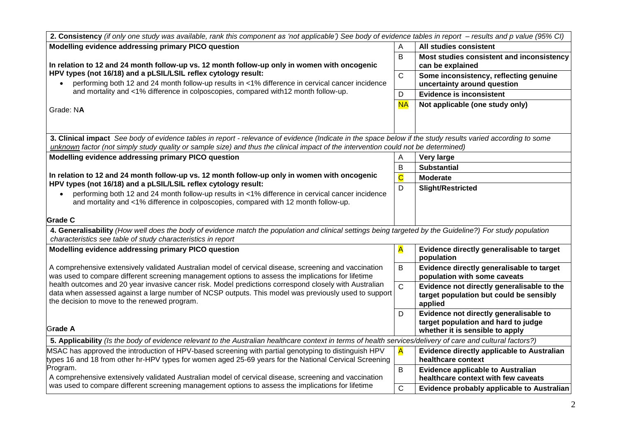| 2. Consistency (if only one study was available, rank this component as 'not applicable') See body of evidence tables in report – results and p value (95% CI)                                               |                         |                                                    |
|--------------------------------------------------------------------------------------------------------------------------------------------------------------------------------------------------------------|-------------------------|----------------------------------------------------|
| Modelling evidence addressing primary PICO question                                                                                                                                                          | A                       | All studies consistent                             |
|                                                                                                                                                                                                              | B                       | Most studies consistent and inconsistency          |
| In relation to 12 and 24 month follow-up vs. 12 month follow-up only in women with oncogenic<br>HPV types (not 16/18) and a pLSIL/LSIL reflex cytology result:                                               |                         | can be explained                                   |
|                                                                                                                                                                                                              |                         | Some inconsistency, reflecting genuine             |
| performing both 12 and 24 month follow-up results in <1% difference in cervical cancer incidence<br>and mortality and <1% difference in colposcopies, compared with12 month follow-up.                       |                         | uncertainty around question                        |
|                                                                                                                                                                                                              | D                       | <b>Evidence is inconsistent</b>                    |
| Grade: NA                                                                                                                                                                                                    | <b>NA</b>               | Not applicable (one study only)                    |
|                                                                                                                                                                                                              |                         |                                                    |
|                                                                                                                                                                                                              |                         |                                                    |
| 3. Clinical impact See body of evidence tables in report - relevance of evidence (Indicate in the space below if the study results varied according to some                                                  |                         |                                                    |
| unknown factor (not simply study quality or sample size) and thus the clinical impact of the intervention could not be determined)                                                                           |                         |                                                    |
| Modelling evidence addressing primary PICO question                                                                                                                                                          | A                       | <b>Very large</b>                                  |
|                                                                                                                                                                                                              | B                       | <b>Substantial</b>                                 |
| In relation to 12 and 24 month follow-up vs. 12 month follow-up only in women with oncogenic<br>HPV types (not 16/18) and a pLSIL/LSIL reflex cytology result:                                               | $\overline{\mathbf{C}}$ | <b>Moderate</b>                                    |
| performing both 12 and 24 month follow-up results in <1% difference in cervical cancer incidence                                                                                                             | D                       | <b>Slight/Restricted</b>                           |
| and mortality and <1% difference in colposcopies, compared with 12 month follow-up.                                                                                                                          |                         |                                                    |
|                                                                                                                                                                                                              |                         |                                                    |
| <b>Grade C</b>                                                                                                                                                                                               |                         |                                                    |
| 4. Generalisability (How well does the body of evidence match the population and clinical settings being targeted by the Guideline?) For study population                                                    |                         |                                                    |
| characteristics see table of study characteristics in report                                                                                                                                                 |                         |                                                    |
| Modelling evidence addressing primary PICO question                                                                                                                                                          | A                       | Evidence directly generalisable to target          |
|                                                                                                                                                                                                              |                         | population                                         |
| A comprehensive extensively validated Australian model of cervical disease, screening and vaccination                                                                                                        | B                       | Evidence directly generalisable to target          |
| was used to compare different screening management options to assess the implications for lifetime<br>health outcomes and 20 year invasive cancer risk. Model predictions correspond closely with Australian |                         | population with some caveats                       |
| data when assessed against a large number of NCSP outputs. This model was previously used to support                                                                                                         | $\mathsf{C}$            | Evidence not directly generalisable to the         |
| the decision to move to the renewed program.                                                                                                                                                                 |                         | target population but could be sensibly<br>applied |
|                                                                                                                                                                                                              | D                       | Evidence not directly generalisable to             |
|                                                                                                                                                                                                              |                         | target population and hard to judge                |
| Grade A                                                                                                                                                                                                      |                         | whether it is sensible to apply                    |
| 5. Applicability (Is the body of evidence relevant to the Australian healthcare context in terms of health services/delivery of care and cultural factors?)                                                  |                         |                                                    |
| MSAC has approved the introduction of HPV-based screening with partial genotyping to distinguish HPV                                                                                                         | A                       | <b>Evidence directly applicable to Australian</b>  |
| ypes 16 and 18 from other hr-HPV types for women aged 25-69 years for the National Cervical Screening                                                                                                        |                         | healthcare context                                 |
| Program.                                                                                                                                                                                                     | В                       | <b>Evidence applicable to Australian</b>           |
| A comprehensive extensively validated Australian model of cervical disease, screening and vaccination                                                                                                        |                         | healthcare context with few caveats                |
| was used to compare different screening management options to assess the implications for lifetime                                                                                                           | $\mathsf{C}$            | Evidence probably applicable to Australian         |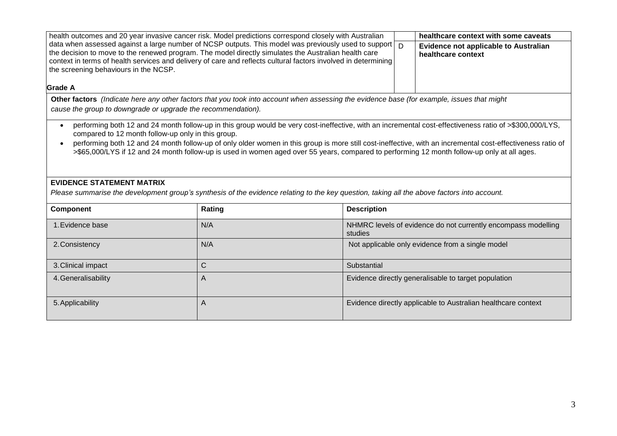| health outcomes and 20 year invasive cancer risk. Model predictions correspond closely with Australian                                                                                                                                                                                                                                                                              |                |                    |                                                               | healthcare context with some caveats                          |  |
|-------------------------------------------------------------------------------------------------------------------------------------------------------------------------------------------------------------------------------------------------------------------------------------------------------------------------------------------------------------------------------------|----------------|--------------------|---------------------------------------------------------------|---------------------------------------------------------------|--|
| data when assessed against a large number of NCSP outputs. This model was previously used to support $\boxed{D}$<br>the decision to move to the renewed program. The model directly simulates the Australian health care<br>context in terms of health services and delivery of care and reflects cultural factors involved in determining<br>the screening behaviours in the NCSP. |                |                    |                                                               | Evidence not applicable to Australian<br>healthcare context   |  |
| <b>Grade A</b>                                                                                                                                                                                                                                                                                                                                                                      |                |                    |                                                               |                                                               |  |
| Other factors (Indicate here any other factors that you took into account when assessing the evidence base (for example, issues that might                                                                                                                                                                                                                                          |                |                    |                                                               |                                                               |  |
| cause the group to downgrade or upgrade the recommendation).                                                                                                                                                                                                                                                                                                                        |                |                    |                                                               |                                                               |  |
| compared to 12 month follow-up only in this group.<br>performing both 12 and 24 month follow-up of only older women in this group is more still cost-ineffective, with an incremental cost-effectiveness ratio of<br>$\bullet$<br>>\$65,000/LYS if 12 and 24 month follow-up is used in women aged over 55 years, compared to performing 12 month follow-up only at all ages.       |                |                    |                                                               |                                                               |  |
| <b>EVIDENCE STATEMENT MATRIX</b><br>Please summarise the development group's synthesis of the evidence relating to the key question, taking all the above factors into account.                                                                                                                                                                                                     |                |                    |                                                               |                                                               |  |
| <b>Component</b>                                                                                                                                                                                                                                                                                                                                                                    | Rating         | <b>Description</b> |                                                               |                                                               |  |
| 1. Evidence base                                                                                                                                                                                                                                                                                                                                                                    | N/A            | studies            | NHMRC levels of evidence do not currently encompass modelling |                                                               |  |
| 2. Consistency                                                                                                                                                                                                                                                                                                                                                                      | N/A            |                    | Not applicable only evidence from a single model              |                                                               |  |
| 3. Clinical impact                                                                                                                                                                                                                                                                                                                                                                  | $\mathsf{C}$   | Substantial        |                                                               |                                                               |  |
| 4. Generalisability                                                                                                                                                                                                                                                                                                                                                                 | $\overline{A}$ |                    | Evidence directly generalisable to target population          |                                                               |  |
| 5. Applicability                                                                                                                                                                                                                                                                                                                                                                    | A              |                    |                                                               | Evidence directly applicable to Australian healthcare context |  |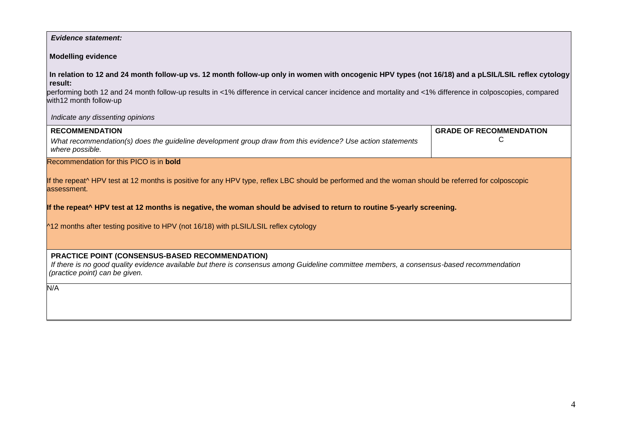#### *Evidence statement:*

## **Modelling evidence**

**In relation to 12 and 24 month follow-up vs. 12 month follow-up only in women with oncogenic HPV types (not 16/18) and a pLSIL/LSIL reflex cytology result:**

performing both 12 and 24 month follow-up results in <1% difference in cervical cancer incidence and mortality and <1% difference in colposcopies, compared with12 month follow-up

 *Indicate any dissenting opinions*

| <b>RECOMMENDATION</b>                                                                                      | <b>GRADE OF RECOMMENDATION</b> |
|------------------------------------------------------------------------------------------------------------|--------------------------------|
| What recommendation(s) does the quideline development group draw from this evidence? Use action statements |                                |
| where possible.                                                                                            |                                |

Recommendation for this PICO is in **bold**

If the repeat<sup> h</sup>HPV test at 12 months is positive for any HPV type, reflex LBC should be performed and the woman should be referred for colposcopic assessment.

**If the repeat^ HPV test at 12 months is negative, the woman should be advised to return to routine 5-yearly screening.** 

 $^{\text{412}}$  months after testing positive to HPV (not 16/18) with pLSIL/LSIL reflex cytology

 **PRACTICE POINT (CONSENSUS-BASED RECOMMENDATION)**

 *If there is no good quality evidence available but there is consensus among Guideline committee members, a consensus-based recommendation (practice point) can be given.*

N/A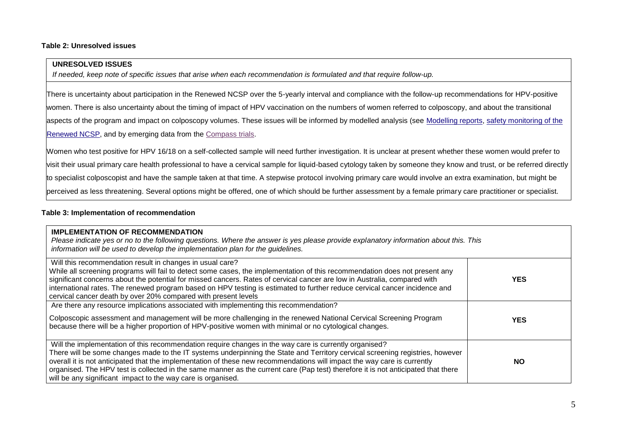#### **Table 2: Unresolved issues**

# **UNRESOLVED ISSUES**

*If needed, keep note of specific issues that arise when each recommendation is formulated and that require follow-up.*

There is uncertainty about participation in the Renewed NCSP over the 5-yearly interval and compliance with the follow-up recommendations for HPV-positive women. There is also uncertainty about the timing of impact of HPV vaccination on the numbers of women referred to colposcopy, and about the transitional aspects of the program and impact on colposcopy volumes. These issues will be informed by modelled analysis (see [Modelling reports,](http://wiki.cancer.org.au/australia/Guidelines:Cervical_cancer/Prevention/Modelling_reports) [safety monitoring of the](http://wiki.cancer.org.au/australia/Clinical_question:Safety_monitoring_of_the_Renewed_cervical_screening_program)  [Renewed NCSP,](http://wiki.cancer.org.au/australia/Clinical_question:Safety_monitoring_of_the_Renewed_cervical_screening_program) and by emerging data from the [Compass trials.](http://www.compasstrial.org.au/)

Women who test positive for HPV 16/18 on a self-collected sample will need further investigation. It is unclear at present whether these women would prefer to visit their usual primary care health professional to have a cervical sample for liquid-based cytology taken by someone they know and trust, or be referred directly to specialist colposcopist and have the sample taken at that time. A stepwise protocol involving primary care would involve an extra examination, but might be perceived as less threatening. Several options might be offered, one of which should be further assessment by a female primary care practitioner or specialist.

## **Table 3: Implementation of recommendation**

| <b>IMPLEMENTATION OF RECOMMENDATION</b><br>Please indicate yes or no to the following questions. Where the answer is yes please provide explanatory information about this. This<br>information will be used to develop the implementation plan for the quidelines.                                                                                                                                                                                                                                                                                                      |           |
|--------------------------------------------------------------------------------------------------------------------------------------------------------------------------------------------------------------------------------------------------------------------------------------------------------------------------------------------------------------------------------------------------------------------------------------------------------------------------------------------------------------------------------------------------------------------------|-----------|
| Will this recommendation result in changes in usual care?<br>While all screening programs will fail to detect some cases, the implementation of this recommendation does not present any<br>significant concerns about the potential for missed cancers. Rates of cervical cancer are low in Australia, compared with<br>international rates. The renewed program based on HPV testing is estimated to further reduce cervical cancer incidence and<br>cervical cancer death by over 20% compared with present levels                                                    | YES.      |
| Are there any resource implications associated with implementing this recommendation?<br>Colposcopic assessment and management will be more challenging in the renewed National Cervical Screening Program<br>because there will be a higher proportion of HPV-positive women with minimal or no cytological changes.                                                                                                                                                                                                                                                    | YES.      |
| Will the implementation of this recommendation require changes in the way care is currently organised?<br>There will be some changes made to the IT systems underpinning the State and Territory cervical screening registries, however<br>overall it is not anticipated that the implementation of these new recommendations will impact the way care is currently<br>organised. The HPV test is collected in the same manner as the current care (Pap test) therefore it is not anticipated that there<br>will be any significant impact to the way care is organised. | <b>NO</b> |